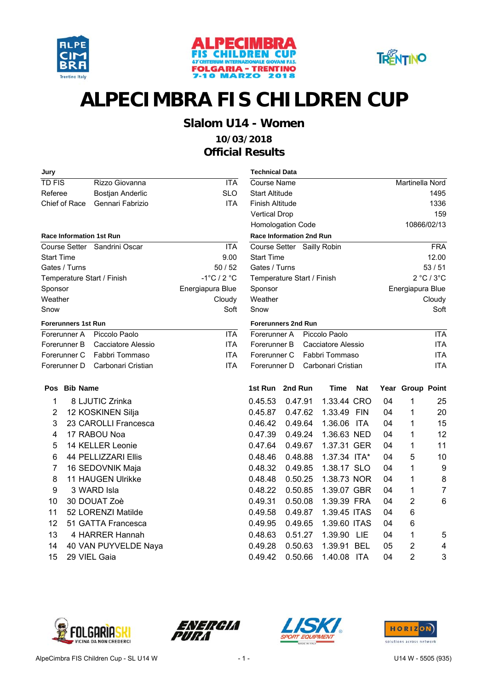





### **Slalom U14 - Women**

### **10/03/2018 Official Results**

| Jury                       |                                 |                                 | <b>Technical Data</b>  |                                 |                    |            |    |                  |                |
|----------------------------|---------------------------------|---------------------------------|------------------------|---------------------------------|--------------------|------------|----|------------------|----------------|
| <b>TD FIS</b>              | Rizzo Giovanna                  | <b>ITA</b>                      | Course Name            |                                 |                    |            |    | Martinella Nord  |                |
| Referee                    | <b>Bostjan Anderlic</b>         | <b>SLO</b>                      | <b>Start Altitude</b>  |                                 |                    |            |    |                  | 1495           |
| Chief of Race              | Gennari Fabrizio                | <b>ITA</b>                      | <b>Finish Altitude</b> |                                 |                    |            |    |                  | 1336           |
|                            |                                 |                                 | <b>Vertical Drop</b>   |                                 |                    |            |    |                  | 159            |
|                            |                                 |                                 |                        | Homologation Code               |                    |            |    |                  | 10866/02/13    |
|                            | <b>Race Information 1st Run</b> |                                 |                        | <b>Race Information 2nd Run</b> |                    |            |    |                  |                |
|                            | Course Setter Sandrini Oscar    | <b>ITA</b>                      |                        | Course Setter Sailly Robin      |                    |            |    |                  | <b>FRA</b>     |
| <b>Start Time</b>          |                                 | 9.00                            | <b>Start Time</b>      |                                 |                    |            |    |                  | 12.00          |
| Gates / Turns              |                                 | 50/52                           | Gates / Turns          |                                 |                    |            |    |                  | 53/51          |
|                            | Temperature Start / Finish      | $-1^{\circ}$ C / 2 $^{\circ}$ C |                        | Temperature Start / Finish      |                    |            |    |                  | 2 °C / 3 °C    |
| Sponsor                    |                                 | Energiapura Blue                | Sponsor                |                                 |                    |            |    | Energiapura Blue |                |
| Weather                    |                                 | Cloudy                          | Weather                |                                 |                    |            |    |                  | Cloudy         |
| Snow                       |                                 | Soft                            | Snow                   |                                 |                    |            |    |                  | Soft           |
| <b>Forerunners 1st Run</b> |                                 |                                 |                        | <b>Forerunners 2nd Run</b>      |                    |            |    |                  |                |
| Forerunner A               | Piccolo Paolo                   | <b>ITA</b>                      | Forerunner A           |                                 | Piccolo Paolo      |            |    |                  | <b>ITA</b>     |
| Forerunner B               | Cacciatore Alessio              | <b>ITA</b>                      | Forerunner B           |                                 | Cacciatore Alessio |            |    |                  | <b>ITA</b>     |
| Forerunner C               | Fabbri Tommaso                  | <b>ITA</b>                      | Forerunner C           |                                 | Fabbri Tommaso     |            |    |                  | <b>ITA</b>     |
| Forerunner D               | Carbonari Cristian              | <b>ITA</b>                      | Forerunner D           |                                 | Carbonari Cristian |            |    |                  | <b>ITA</b>     |
| Pos Bib Name               |                                 |                                 |                        | 1st Run 2nd Run                 | <b>Time</b>        | <b>Nat</b> |    | Year Group Point |                |
| 1                          | 8 LJUTIC Zrinka                 |                                 | 0.45.53                | 0.47.91                         | 1.33.44 CRO        |            | 04 | 1                | 25             |
| $\overline{2}$             | 12 KOSKINEN Silja               |                                 | 0.45.87                | 0.47.62                         | 1.33.49 FIN        |            | 04 | 1                | 20             |
| 3                          | 23 CAROLLI Francesca            |                                 | 0.46.42                | 0.49.64                         | 1.36.06            | <b>ITA</b> | 04 | 1                | 15             |
| 4                          | 17 RABOU Noa                    |                                 | 0.47.39                | 0.49.24                         | 1.36.63 NED        |            | 04 | 1                | 12             |
| 5                          | 14 KELLER Leonie                |                                 | 0.47.64                | 0.49.67                         | 1.37.31 GER        |            | 04 | 1                | 11             |
| 6                          | 44 PELLIZZARI Ellis             |                                 | 0.48.46                | 0.48.88                         | 1.37.34 ITA*       |            | 04 | 5                | 10             |
| 7                          | 16 SEDOVNIK Maja                |                                 | 0.48.32                | 0.49.85                         | 1.38.17 SLO        |            | 04 | 1                | 9              |
| 8                          | 11 HAUGEN Ulrikke               |                                 | 0.48.48                | 0.50.25                         | 1.38.73 NOR        |            | 04 | 1                | 8              |
| 9                          | 3 WARD Isla                     |                                 | 0.48.22                | 0.50.85                         | 1.39.07 GBR        |            | 04 | 1                | $\overline{7}$ |
| 10                         | 30 DOUAT Zoè                    |                                 | 0.49.31                | 0.50.08                         | 1.39.39 FRA        |            | 04 | 2                | 6              |
| 11                         | 52 LORENZI Matilde              |                                 | 0.49.58                | 0.49.87                         | 1.39.45 ITAS       |            | 04 | 6                |                |
| 12                         | 51 GATTA Francesca              |                                 | 0.49.95                | 0.49.65                         | 1.39.60 ITAS       |            | 04 | 6                |                |
| 13                         | 4 HARRER Hannah                 |                                 | 0.48.63                | 0.51.27                         | 1.39.90            | <b>LIE</b> | 04 | 1                | 5              |
| 14                         | 40 VAN PUYVELDE Naya            |                                 | 0.49.28                | 0.50.63                         | 1.39.91 BEL        |            | 05 | $\overline{2}$   | 4              |
| 15                         | 29 VIEL Gaia                    |                                 | 0.49.42                | 0.50.66                         | 1.40.08 ITA        |            | 04 | $\overline{2}$   | 3              |
|                            |                                 |                                 |                        |                                 |                    |            |    |                  |                |

| Course Name                     |         |                            |            |      | Martinella Nord    |                |  |  |
|---------------------------------|---------|----------------------------|------------|------|--------------------|----------------|--|--|
| <b>Start Altitude</b>           |         |                            |            |      |                    | 1495           |  |  |
| <b>Finish Altitude</b>          |         |                            |            |      |                    | 1336           |  |  |
| <b>Vertical Drop</b>            |         |                            |            | 159  |                    |                |  |  |
| Homologation Code               |         |                            |            |      |                    | 10866/02/13    |  |  |
| <b>Race Information 2nd Run</b> |         |                            |            |      |                    |                |  |  |
|                                 |         | Course Setter Sailly Robin |            |      |                    | <b>FRA</b>     |  |  |
| <b>Start Time</b>               |         |                            |            |      |                    | 12.00          |  |  |
| Gates / Turns                   |         |                            |            |      |                    | 53/51          |  |  |
| Temperature Start / Finish      |         |                            |            |      |                    | 2 °C / 3 °C    |  |  |
| Sponsor                         |         |                            |            |      | Energiapura Blue   |                |  |  |
| Weather                         |         |                            |            |      |                    | Cloudy         |  |  |
| Snow                            |         |                            |            |      |                    | Soft           |  |  |
| <b>Forerunners 2nd Run</b>      |         |                            |            |      |                    |                |  |  |
| Forerunner A                    |         | Piccolo Paolo              |            |      |                    | <b>ITA</b>     |  |  |
| Forerunner B                    |         | Cacciatore Alessio         |            |      |                    | <b>ITA</b>     |  |  |
| Fabbri Tommaso<br>Forerunner C  |         |                            |            |      |                    | <b>ITA</b>     |  |  |
| Forerunner D                    |         | Carbonari Cristian         |            |      |                    | <b>ITA</b>     |  |  |
| 1st Run                         | 2nd Run | Time                       | Nat        | Year | <b>Group Point</b> |                |  |  |
| 0.45.53                         | 0.47.91 | 1.33.44                    | CRO        | 04   | 1                  | 25             |  |  |
| 0.45.87                         | 0.47.62 | 1.33.49                    | <b>FIN</b> | 04   | 1                  | 20             |  |  |
| 0.46.42                         | 0.49.64 | 1.36.06                    | ITA        | 04   | 1                  | 15             |  |  |
| 0.47.39                         | 0.49.24 | 1.36.63 NED                |            | 04   | 1                  | 12             |  |  |
| 0.47.64                         | 0.49.67 | 1.37.31                    | <b>GER</b> | 04   | 1                  | 11             |  |  |
| 0.48.46                         | 0.48.88 | 1.37.34                    | ITA*       | 04   | 5                  | 10             |  |  |
| 0.48.32                         | 0.49.85 | 1.38.17                    | <b>SLO</b> | 04   | 1                  | 9              |  |  |
| 0.48.48                         | 0.50.25 | 1.38.73 NOR                |            | 04   | 1                  | 8              |  |  |
| 0.48.22                         | 0.50.85 | 1.39.07 GBR                |            | 04   | 1                  | $\overline{7}$ |  |  |
| 0.49.31                         | 0.50.08 | 1.39.39 FRA                |            | 04   | 2                  | 6              |  |  |
| 0.49.58                         | 0.49.87 | 1.39.45 ITAS               |            | 04   | 6                  |                |  |  |
| 0.49.95                         | 0.49.65 | 1.39.60 ITAS               |            | 04   | 6                  |                |  |  |
| 0.48.63                         | 0.51.27 | 1.39.90                    | LIE        | 04   | 1                  | 5              |  |  |
| 0.49.28                         | 0.50.63 | 1.39.91                    | BEL        | 05   | $\overline{2}$     | 4              |  |  |







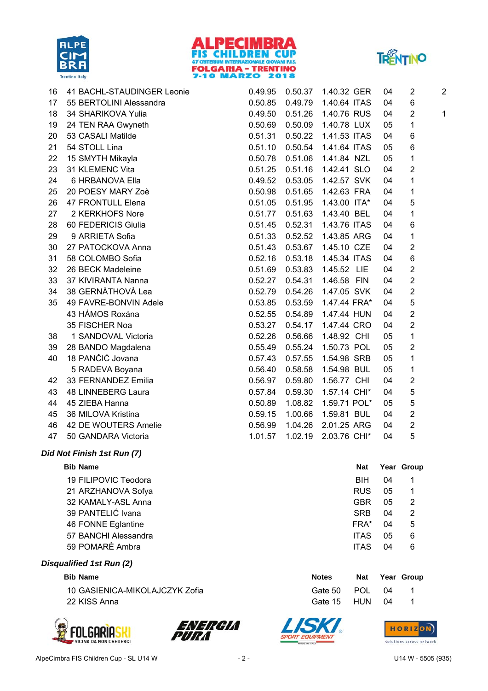





16 BACHL-STAUDINGER Leonie 2 2 41 0.49.95 0.50.37 1.40.32 GER 04 17 BERTOLINI Alessandra 6 55 0.50.85 0.49.79 1.40.64 ITAS 04 18 SHARIKOVA Yulia 34 0.49.50 0.51.26 1.40.76 RUS 04 2 1 19 TEN RAA Gwyneth 1 24 0.50.69 0.50.09 1.40.78 LUX 05 20 CASALI Matilde 53 0.51.31 0.50.22 1.41.53 ITAS 04 6 21 STOLL Lina 54 0.51.10 0.50.54 1.41.64 ITAS 05 6 22 15 SMYTH Mikayla 15 0.50.78 0.51.06 1.41.84 NZL 05 1 23 KLEMENC Vita 31 0.51.25 0.51.16 1.42.41 SLO 04 2 24 HRBANOVA Ella 6 0.49.52 0.53.05 1.42.57 SVK 04 1 25 POESY MARY Zoè 1 20 0.50.98 0.51.65 1.42.63 FRA 04 26 FRONTULL Elena 47 0.51.05 0.51.95 1.43.00 ITA\* 04 5 27 KERKHOFS Nore 2 0.51.77 0.51.63 1.43.40 BEL 04 1 28 FEDERICIS Giulia 60 0.51.45 0.52.31 1.43.76 ITAS 04 6 29 ARRIETA Sofia 9 0.51.33 0.52.52 1.43.85 ARG 04 1 30 PATOCKOVA Anna 2 27 0.51.43 0.53.67 1.45.10 CZE 04 31 COLOMBO Sofia 58 0.52.16 0.53.18 1.45.34 ITAS 04 6 32 BECK Madeleine 26 0.51.69 0.53.83 1.45.52 LIE 04 2 33 KIVIRANTA Nanna 2 37 0.52.27 0.54.31 1.46.58 FIN 04 34 38 GERNÀTHOVÀ Lea 2 38 0.52.79 0.54.26 1.47.05 SVK 04 2 35 FAVRE-BONVIN Adele 5 49 0.53.85 0.53.59 1.47.44 FRA\* 04 43 0.52.55 0.54.89 1.47.44 HÁMOS Roxána HUN 04 2 35 FISCHER Noa 2 0.53.27 0.54.17 1.47.44 CRO 04 2 38 1 SANDOVAL Victoria 1 1 1 0.52.26 0.56.66 1.48.92 CHI 05 1 39 BANDO Magdalena 2 28 0.55.49 0.55.24 1.50.73 POL 05 40 18 PANČIĆ Jovana 2008 COM 20.57.43 0.57.55 1.54.98 SRB 05 1 5 RADEVA Boyana **Bulkarya National 2018** 0.56.40 0.58.58 1.54.98 BUL 05 1 42 FERNANDEZ Emilia 2 33 0.56.97 0.59.80 1.56.77 CHI 04 43 LINNEBERG Laura 5 48 0.57.84 0.59.30 1.57.14 CHI\* 04 44 ZIEBA Hanna 45 0.50.89 1.08.82 1.59.71 POL\* 05 5 45 MILOVA Kristina 36 0.59.15 1.00.66 1.59.81 BUL 04 2 46 DE WOUTERS Amelie 2 42 0.56.99 1.04.26 2.01.25 ARG 04

47 50 GANDARA Victoria 1.01.57 1.02.19 2.03.76 CHI\* 04 5

## *Did Not Finish 1st Run (7)*

| <b>Bib Name</b>      | <b>Nat</b>  | Year Gro |   |
|----------------------|-------------|----------|---|
| 19 FILIPOVIC Teodora | <b>BIH</b>  | 04       | 1 |
| 21 ARZHANOVA Sofya   | <b>RUS</b>  | 05       | 1 |
| 32 KAMALY-ASL Anna   | <b>GBR</b>  | 05       | 2 |
| 39 PANTELIĆ Ivana    | <b>SRB</b>  | 04       | 2 |
| 46 FONNE Eglantine   | FRA*        | 04       | 5 |
| 57 BANCHI Alessandra | <b>ITAS</b> | 05       | 6 |
| 59 POMARÈ Ambra      | <b>ITAS</b> | 04       | 6 |

### *Disqualified 1st Run (2)*

#### **Bib Name Notes Nat Year Group**

10 GASIENICA-MIKOLAJCZYK Zofia 1 Gate 50 POL 04 1 22 KISS Anna Gate 15 HUN 04 1









**Nat Year Group**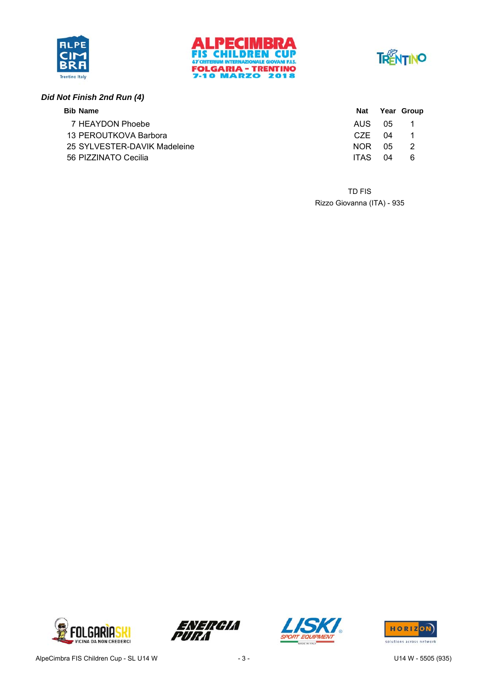





### *Did Not Finish 2nd Run (4)*

| <b>Bib Name</b>              |             |    | Nat Year Group |
|------------------------------|-------------|----|----------------|
| 7 HEAYDON Phoebe             | AUS 05      |    | $\blacksquare$ |
| 13 PEROUTKOVA Barbora        | C.7F 04     |    |                |
| 25 SYLVESTER-DAVIK Madeleine | NOR 05      |    | - 2            |
| 56 PIZZINATO Cecilia         | <b>ITAS</b> | 04 | 6              |

Rizzo Giovanna (ITA) - 935 TD FIS







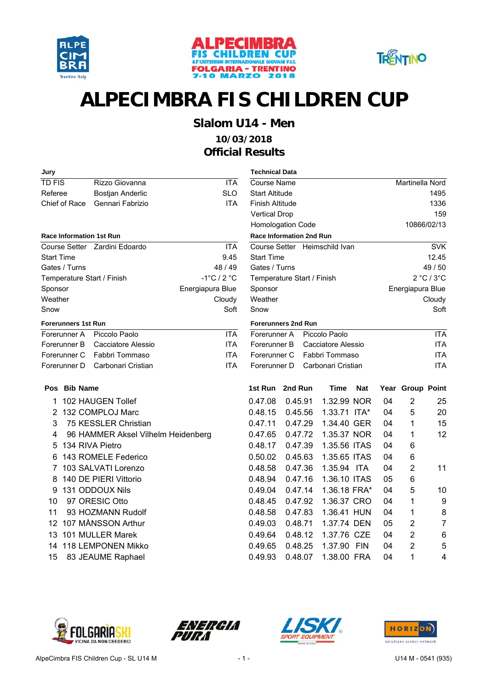





## **Slalom U14 - Men**

### **10/03/2018 Official Results**

| Jury                      |                     |                                    |                                 | <b>Technical Data</b>           |         |                               |            |    |                  |                  |
|---------------------------|---------------------|------------------------------------|---------------------------------|---------------------------------|---------|-------------------------------|------------|----|------------------|------------------|
| <b>TD FIS</b>             |                     | Rizzo Giovanna                     | <b>ITA</b>                      | <b>Course Name</b>              |         |                               |            |    | Martinella Nord  |                  |
| Referee                   |                     | Bostjan Anderlic                   | <b>SLO</b>                      | <b>Start Altitude</b>           |         |                               |            |    |                  | 1495             |
|                           | Chief of Race       | Gennari Fabrizio                   | <b>ITA</b>                      | <b>Finish Altitude</b>          |         |                               |            |    |                  | 1336             |
|                           |                     |                                    |                                 | <b>Vertical Drop</b>            |         |                               |            |    |                  | 159              |
|                           |                     |                                    |                                 | Homologation Code               |         |                               |            |    | 10866/02/13      |                  |
|                           |                     | <b>Race Information 1st Run</b>    |                                 | <b>Race Information 2nd Run</b> |         |                               |            |    |                  |                  |
|                           |                     | Course Setter Zardini Edoardo      | <b>ITA</b>                      |                                 |         | Course Setter Heimschild Ivan |            |    |                  | <b>SVK</b>       |
| Start Time                |                     |                                    | 9.45                            | <b>Start Time</b>               |         |                               |            |    |                  | 12.45            |
|                           | Gates / Turns       |                                    | 48 / 49                         | Gates / Turns                   |         |                               |            |    |                  | 49 / 50          |
|                           |                     | Temperature Start / Finish         | $-1^{\circ}$ C / 2 $^{\circ}$ C |                                 |         | Temperature Start / Finish    |            |    |                  | 2 °C / 3 °C      |
| Sponsor                   |                     |                                    | Energiapura Blue                | Sponsor                         |         |                               |            |    | Energiapura Blue |                  |
| Weather                   |                     |                                    | Cloudy                          | Weather                         |         |                               |            |    |                  | Cloudy           |
| Snow                      |                     |                                    | Soft                            | Snow                            |         |                               |            |    |                  | Soft             |
|                           | Forerunners 1st Run |                                    |                                 | <b>Forerunners 2nd Run</b>      |         |                               |            |    |                  |                  |
|                           | Forerunner A        | Piccolo Paolo                      | <b>ITA</b>                      | Forerunner A                    |         | Piccolo Paolo                 |            |    |                  | <b>ITA</b>       |
|                           | Forerunner B        | Cacciatore Alessio                 | <b>ITA</b>                      | Forerunner B                    |         | Cacciatore Alessio            |            |    |                  | <b>ITA</b>       |
|                           | Forerunner C        | Fabbri Tommaso                     | <b>ITA</b>                      | Forerunner C                    |         | Fabbri Tommaso                |            |    |                  | <b>ITA</b>       |
|                           | Forerunner D        | Carbonari Cristian                 | <b>ITA</b>                      | Forerunner D                    |         | Carbonari Cristian            |            |    |                  | <b>ITA</b>       |
|                           | Pos Bib Name        |                                    |                                 | 1st Run 2nd Run                 |         | <b>Time</b>                   | <b>Nat</b> |    | Year Group Point |                  |
| 1                         |                     | 102 HAUGEN Tollef                  |                                 | 0.47.08                         | 0.45.91 | 1.32.99 NOR                   |            | 04 | $\overline{2}$   | 25               |
| 2                         |                     | 132 COMPLOJ Marc                   |                                 | 0.48.15                         | 0.45.56 | 1.33.71 ITA*                  |            | 04 | 5                | 20               |
| $\ensuremath{\mathsf{3}}$ |                     | 75 KESSLER Christian               |                                 | 0.47.11                         | 0.47.29 | 1.34.40 GER                   |            | 04 | 1                | 15               |
| 4                         |                     | 96 HAMMER Aksel Vilhelm Heidenberg |                                 | 0.47.65                         | 0.47.72 | 1.35.37 NOR                   |            | 04 | 1                | 12               |
| 5                         |                     | 134 RIVA Pietro                    |                                 | 0.48.17                         | 0.47.39 | 1.35.56 ITAS                  |            | 04 | 6                |                  |
| 6                         |                     | 143 ROMELE Federico                |                                 | 0.50.02                         | 0.45.63 | 1.35.65 ITAS                  |            | 04 | 6                |                  |
| 7                         |                     | 103 SALVATI Lorenzo                |                                 | 0.48.58                         | 0.47.36 | 1.35.94 ITA                   |            | 04 | $\overline{2}$   | 11               |
| 8                         |                     | 140 DE PIERI Vittorio              |                                 | 0.48.94                         | 0.47.16 | 1.36.10 ITAS                  |            | 05 | $\,6$            |                  |
| 9                         |                     | 131 ODDOUX Nils                    |                                 | 0.49.04                         | 0.47.14 | 1.36.18 FRA*                  |            | 04 | 5                | 10               |
| 10                        |                     | 97 ORESIC Otto                     |                                 | 0.48.45                         | 0.47.92 | 1.36.37 CRO                   |            | 04 | 1                | $\boldsymbol{9}$ |
| 11                        |                     | 93 HOZMANN Rudolf                  |                                 | 0.48.58                         | 0.47.83 | 1.36.41 HUN                   |            | 04 | 1                | 8                |
| 12                        |                     | 107 MÅNSSON Arthur                 |                                 | 0.49.03                         | 0.48.71 | 1.37.74 DEN                   |            | 05 | 2                | $\overline{7}$   |
| 13                        |                     | 101 MULLER Marek                   |                                 | 0.49.64                         | 0.48.12 | 1.37.76 CZE                   |            | 04 | $\overline{2}$   | 6                |
| 14                        |                     | 118 LEMPONEN Mikko                 |                                 | 0.49.65                         | 0.48.25 | 1.37.90 FIN                   |            | 04 | $\overline{2}$   | 5                |
| 15                        |                     | 83 JEAUME Raphael                  |                                 | 0.49.93                         | 0.48.07 | 1.38.00 FRA                   |            | 04 | 1                | 4                |
|                           |                     |                                    |                                 |                                 |         |                               |            |    |                  |                  |

| у                     |                                    |                                 | <b>Technical Data</b>           |         |         |                               |            |    |                  |                |
|-----------------------|------------------------------------|---------------------------------|---------------------------------|---------|---------|-------------------------------|------------|----|------------------|----------------|
| <b>FIS</b>            | Rizzo Giovanna                     | <b>ITA</b>                      | Course Name                     |         |         |                               |            |    | Martinella Nord  |                |
| eree                  | <b>Bostjan Anderlic</b>            | <b>SLO</b>                      | <b>Start Altitude</b>           |         |         |                               |            |    |                  | 1495           |
| ef of Race            | Gennari Fabrizio                   | <b>ITA</b>                      | <b>Finish Altitude</b>          |         |         |                               |            |    |                  | 1336           |
|                       |                                    |                                 | <b>Vertical Drop</b>            |         |         |                               |            |    |                  | 159            |
|                       |                                    |                                 | Homologation Code               |         |         |                               |            |    |                  | 10866/02/13    |
| e Information 1st Run |                                    |                                 | <b>Race Information 2nd Run</b> |         |         |                               |            |    |                  |                |
|                       | urse Setter Zardini Edoardo        | <b>ITA</b>                      |                                 |         |         | Course Setter Heimschild Ivan |            |    |                  | <b>SVK</b>     |
| rt Time               |                                    | 9.45                            | <b>Start Time</b>               |         |         |                               |            |    |                  | 12.45          |
| es / Turns            |                                    | 48/49                           | Gates / Turns                   |         |         |                               |            |    |                  | 49/50          |
|                       | nperature Start / Finish           | $-1^{\circ}$ C / 2 $^{\circ}$ C | Temperature Start / Finish      |         |         |                               |            |    |                  | 2 °C / 3 °C    |
| onsor                 |                                    | Energiapura Blue                | Sponsor                         |         |         |                               |            |    | Energiapura Blue |                |
| ather                 |                                    | Cloudy                          | Weather                         |         |         |                               |            |    |                  | Cloudy         |
| ж                     |                                    | Soft                            | Snow                            |         |         |                               |            |    |                  | Soft           |
| erunners 1st Run      |                                    |                                 | <b>Forerunners 2nd Run</b>      |         |         |                               |            |    |                  |                |
| erunner A             | Piccolo Paolo                      | <b>ITA</b>                      | Forerunner A                    |         |         | Piccolo Paolo                 |            |    |                  | <b>ITA</b>     |
| erunner B             | Cacciatore Alessio                 | <b>ITA</b>                      | Forerunner B                    |         |         | Cacciatore Alessio            |            |    |                  | <b>ITA</b>     |
| erunner C             | Fabbri Tommaso                     | <b>ITA</b>                      | Forerunner C                    |         |         | Fabbri Tommaso                |            |    |                  | <b>ITA</b>     |
| erunner D             | Carbonari Cristian                 | <b>ITA</b>                      | Forerunner D                    |         |         | Carbonari Cristian            |            |    |                  | <b>ITA</b>     |
| s Bib Name            |                                    |                                 | 1st Run                         | 2nd Run |         | <b>Time</b>                   | <b>Nat</b> |    | Year Group Point |                |
|                       | 1 102 HAUGEN Tollef                |                                 | 0.47.08                         | 0.45.91 |         | 1.32.99 NOR                   |            | 04 | $\overline{2}$   | 25             |
|                       | 2 132 COMPLOJ Marc                 |                                 | 0.48.15                         |         | 0.45.56 | 1.33.71 ITA*                  |            | 04 | 5                | 20             |
| 3                     | 75 KESSLER Christian               |                                 | 0.47.11                         |         | 0.47.29 | 1.34.40 GER                   |            | 04 | 1                | 15             |
| 4                     | 96 HAMMER Aksel Vilhelm Heidenberg |                                 | 0.47.65                         | 0.47.72 |         | 1.35.37 NOR                   |            | 04 | 1                | 12             |
|                       | 5 134 RIVA Pietro                  |                                 | 0.48.17                         |         | 0.47.39 | 1.35.56 ITAS                  |            | 04 | 6                |                |
|                       | 6 143 ROMELE Federico              |                                 | 0.50.02                         | 0.45.63 |         | 1.35.65 ITAS                  |            | 04 | 6                |                |
|                       | 7 103 SALVATI Lorenzo              |                                 | 0.48.58                         |         | 0.47.36 | 1.35.94 ITA                   |            | 04 | $\overline{2}$   | 11             |
|                       | 8 140 DE PIERI Vittorio            |                                 | 0.48.94                         |         | 0.47.16 | 1.36.10 ITAS                  |            | 05 | 6                |                |
|                       | 9 131 ODDOUX Nils                  |                                 | 0.49.04                         |         | 0.47.14 | 1.36.18 FRA*                  |            | 04 | 5                | 10             |
| 0                     | 97 ORESIC Otto                     |                                 | 0.48.45                         | 0.47.92 |         | 1.36.37 CRO                   |            | 04 | 1                | 9              |
| 1                     | 93 HOZMANN Rudolf                  |                                 | 0.48.58                         | 0.47.83 |         | 1.36.41 HUN                   |            | 04 | 1                | 8              |
|                       | 2 107 MÅNSSON Arthur               |                                 | 0.49.03                         | 0.48.71 |         | 1.37.74 DEN                   |            | 05 | 2                | $\overline{7}$ |
|                       | 3 101 MULLER Marek                 |                                 | 0.49.64                         | 0.48.12 |         | 1.37.76 CZE                   |            | 04 | $\overline{2}$   | 6              |







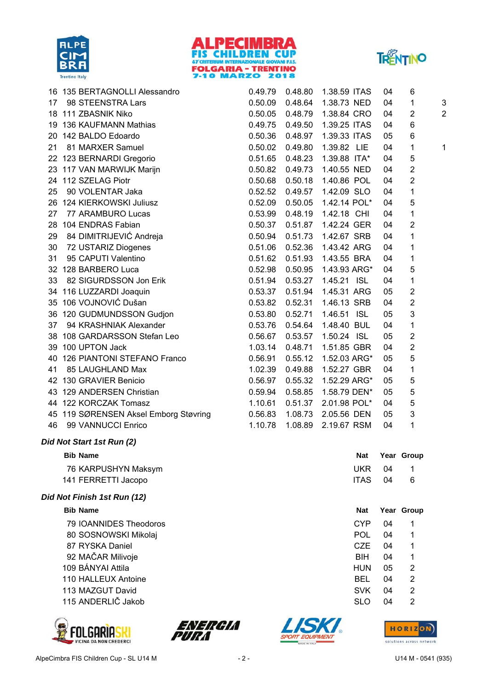





|    |                   | 16 135 BERTAGNOLLI Alessandro         | 0.49.79          | 0.48.80         | 1.38.59 ITAS                   | 04 | 6                       |                |
|----|-------------------|---------------------------------------|------------------|-----------------|--------------------------------|----|-------------------------|----------------|
| 17 |                   | 98 STEENSTRA Lars                     |                  |                 | 0.50.09  0.48.64  1.38.73  NED | 04 | 1                       | 3              |
|    |                   | 18 111 ZBASNIK Niko                   |                  |                 | 0.50.05  0.48.79  1.38.84  CRO | 04 | $\overline{2}$          | $\overline{a}$ |
|    |                   | 19 136 KAUFMANN Mathias               | 0.49.75  0.49.50 |                 | 1.39.25 ITAS                   | 04 | 6                       |                |
|    |                   | 20 142 BALDO Edoardo                  |                  | 0.50.36 0.48.97 | 1.39.33 ITAS                   | 05 | 6                       |                |
| 21 |                   | 81 MARXER Samuel                      | 0.50.02          | 0.49.80         | 1.39.82 LIE                    | 04 | $\mathbf{1}$            | 1              |
|    |                   | 22 123 BERNARDI Gregorio              | 0.51.65 0.48.23  |                 | 1.39.88 ITA*                   | 04 | 5                       |                |
|    |                   | 23 117 VAN MARWIJK Marijn             | 0.50.82 0.49.73  |                 | 1.40.55 NED                    | 04 | $\overline{c}$          |                |
|    |                   | 24 112 SZELAG Piotr                   | 0.50.68          | 0.50.18         | 1.40.86 POL                    | 04 | $\overline{2}$          |                |
| 25 |                   | 90 VOLENTAR Jaka                      |                  | 0.52.52 0.49.57 | 1.42.09 SLO                    | 04 | 1                       |                |
|    |                   | 26 124 KIERKOWSKI Juliusz             | 0.52.09          | 0.50.05         | 1.42.14 POL*                   | 04 | 5                       |                |
| 27 |                   | 77 ARAMBURO Lucas                     |                  |                 | 0.53.99  0.48.19  1.42.18  CHI | 04 | $\mathbf{1}$            |                |
|    |                   | 28 104 ENDRAS Fabian                  | 0.50.37          | 0.51.87         | 1.42.24 GER                    | 04 | $\overline{2}$          |                |
| 29 |                   | 84 DIMITRIJEVIĆ Andreja               | 0.50.94          | 0.51.73         | 1.42.67 SRB                    | 04 | 1                       |                |
| 30 |                   | 72 USTARIZ Diogenes                   |                  |                 | 0.51.06  0.52.36  1.43.42 ARG  | 04 | 1                       |                |
| 31 |                   | 95 CAPUTI Valentino                   | 0.51.62          | 0.51.93         | 1.43.55 BRA                    | 04 | 1                       |                |
|    |                   | 32 128 BARBERO Luca                   | 0.52.98  0.50.95 |                 | 1.43.93 ARG*                   | 04 | $\mathbf 5$             |                |
| 33 |                   | 82 SIGURDSSON Jon Erik                | 0.51.94          | 0.53.27         | 1.45.21 ISL                    | 04 | 1                       |                |
|    |                   | 34 116 LUZZARDI Joaquin               | 0.53.37          | 0.51.94         | 1.45.31 ARG                    | 05 | $\overline{\mathbf{c}}$ |                |
|    |                   | 35 106 VOJNOVIĆ Dušan                 | 0.53.82  0.52.31 |                 | 1.46.13 SRB                    | 04 | $\mathbf{2}$            |                |
|    |                   | 36 120 GUDMUNDSSON Gudjon             | 0.53.80  0.52.71 |                 | 1.46.51 ISL                    | 05 | 3                       |                |
| 37 |                   | 94 KRASHNIAK Alexander                | 0.53.76  0.54.64 |                 | 1.48.40 BUL                    | 04 | 1                       |                |
|    |                   | 38 108 GARDARSSON Stefan Leo          | 0.56.67          | 0.53.57         | 1.50.24 ISL                    | 05 | $\overline{2}$          |                |
|    | 39 100 UPTON Jack |                                       | 1.03.14          | 0.48.71         | 1.51.85 GBR                    | 04 | $\overline{2}$          |                |
|    |                   | 40 126 PIANTONI STEFANO Franco        | 0.56.91          | 0.55.12         | 1.52.03 ARG*                   | 05 | 5                       |                |
| 41 |                   | 85 LAUGHLAND Max                      | 1.02.39          | 0.49.88         | 1.52.27 GBR                    | 04 | 1                       |                |
|    |                   | 42 130 GRAVIER Benicio                | 0.56.97          | 0.55.32         | 1.52.29 ARG*                   | 05 | 5                       |                |
|    |                   | 43 129 ANDERSEN Christian             | 0.59.94          | 0.58.85         | 1.58.79 DEN*                   | 05 | 5                       |                |
|    |                   | 44 122 KORCZAK Tomasz                 | 1.10.61          | 0.51.37         | 2.01.98 POL*                   | 04 | 5                       |                |
|    |                   | 45 119 SØRENSEN Aksel Emborg Støvring | 0.56.83          | 1.08.73         | 2.05.56 DEN                    | 05 | 3                       |                |
| 46 |                   | 99 VANNUCCI Enrico                    | 1.10.78          | 1.08.89         | 2.19.67 RSM                    | 04 | 1                       |                |
|    |                   |                                       |                  |                 |                                |    |                         |                |

#### *Did Not Start 1st Run (2)*

| <b>Bib Name</b>             | Nat         |    | Year Group |
|-----------------------------|-------------|----|------------|
| 76 KARPUSHYN Maksym         | <b>UKR</b>  | 04 | 1          |
| 141 FERRETTI Jacopo         | <b>ITAS</b> | 04 | 6          |
| Did Not Finish 1st Run (12) |             |    |            |
| <b>Bib Name</b>             | Nat         |    | Year Group |
| 79 IOANNIDES Theodoros      | CYP         | 04 | 1          |
| 80 SOSNOWSKI Mikolaj        | POL         | 04 |            |

87 RYSKA Daniel **CZE** 04 1 92 MAČAR Milivoje **BIH** 04 1 109 BÁNYAI Attila and a strong and a strong strong strong strong strong strong strong strong strong strong strong strong strong strong strong strong strong strong strong strong strong strong strong strong strong strong str 110 HALLEUX Antoine **BEL** 04 2

- 113 MAZGUT David No. 2 SVK 04 2
- 115 ANDERLIČ Jakob SLO 04 2







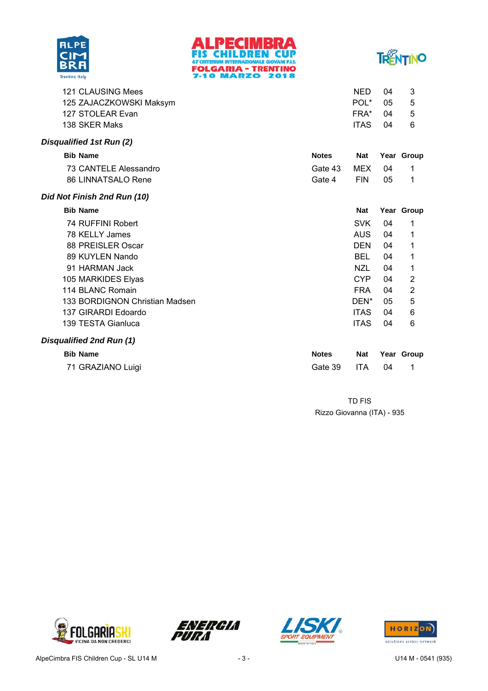





| Disqualified 1st Run (2) |             |      |    |  |  |
|--------------------------|-------------|------|----|--|--|
| 138 SKER Maks            | <b>ITAS</b> | 04   | 6  |  |  |
| 127 STOLEAR Evan         | FRA*        | በ4   | -5 |  |  |
| 125 ZAJACZKOWSKI Maksym  | POL*        | - 05 | 5  |  |  |
| 121 CLAUSING Mees        | NED.        | 04   |    |  |  |
|                          |             |      |    |  |  |

| <b>Bib Name</b>       | <b>Notes</b>   | Nat  |      | Year Group |
|-----------------------|----------------|------|------|------------|
| 73 CANTELE Alessandro | Gate 43 MEX 04 |      |      |            |
| 86 LINNATSALO Rene    | Gate 4         | FIN. | - 05 |            |

### *Did Not Finish 2nd Run (10)*

| <b>Bib Name</b>                | <b>Nat</b>  |    | Year Group     |
|--------------------------------|-------------|----|----------------|
| 74 RUFFINI Robert              | <b>SVK</b>  | 04 | 1              |
| 78 KELLY James                 | <b>AUS</b>  | 04 | 1              |
| 88 PREISLER Oscar              | <b>DEN</b>  | 04 | 1              |
| 89 KUYLEN Nando                | BEL         | 04 | 1              |
| 91 HARMAN Jack                 | NZL         | 04 | 1              |
| 105 MARKIDES Elyas             | <b>CYP</b>  | 04 | $\overline{2}$ |
| 114 BLANC Romain               | <b>FRA</b>  | 04 | $\overline{2}$ |
| 133 BORDIGNON Christian Madsen | DEN*        | 05 | 5              |
| 137 GIRARDI Edoardo            | <b>ITAS</b> | 04 | 6              |
| 139 TESTA Gianluca             | <b>ITAS</b> | 04 | 6              |
| Disqualified 2nd Run (1)       |             |    |                |

| <b>Bib Name</b>   | <b>Notes</b> |    | Nat Year Group |
|-------------------|--------------|----|----------------|
| 71 GRAZIANO Luigi | Gate 39 ITA  | 04 |                |

Rizzo Giovanna (ITA) - 935 TD FIS







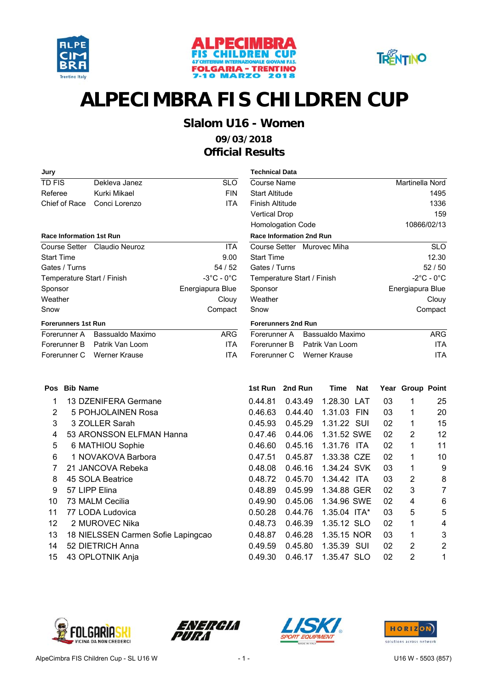





## **Slalom U16 - Women**

### **09/03/2018 Official Results**

| Jury                            |                              |                                 | <b>Technical Data</b>           |                            |                                 |
|---------------------------------|------------------------------|---------------------------------|---------------------------------|----------------------------|---------------------------------|
| TD FIS                          | Dekleva Janez                | <b>SLO</b>                      | <b>Course Name</b>              |                            | Martinella Nord                 |
| Referee                         | Kurki Mikael                 | <b>FIN</b>                      | <b>Start Altitude</b>           |                            | 1495                            |
| Chief of Race                   | Conci Lorenzo                | <b>ITA</b>                      | Finish Altitude                 |                            | 1336                            |
|                                 |                              |                                 | <b>Vertical Drop</b>            |                            | 159                             |
|                                 |                              |                                 | <b>Homologation Code</b>        |                            | 10866/02/13                     |
| <b>Race Information 1st Run</b> |                              |                                 | <b>Race Information 2nd Run</b> |                            |                                 |
|                                 | Course Setter Claudio Neuroz | <b>ITA</b>                      |                                 | Course Setter Murovec Miha | <b>SLC</b>                      |
| <b>Start Time</b>               |                              | 9.00                            | <b>Start Time</b>               |                            | 12.30                           |
| Gates / Turns                   |                              | 54 / 52                         | Gates / Turns                   |                            | 52 / 50                         |
| Temperature Start / Finish      |                              | $-3^{\circ}$ C - 0 $^{\circ}$ C | Temperature Start / Finish      |                            | $-2^{\circ}$ C - 0 $^{\circ}$ C |
| Sponsor                         |                              | Energiapura Blue                | Sponsor                         |                            | Energiapura Blue                |
| Weather                         |                              | Clouy                           | Weather                         |                            | Clouy                           |
| Snow                            |                              | Compact                         | Snow                            |                            | Compact                         |
| <b>Forerunners 1st Run</b>      |                              |                                 | <b>Forerunners 2nd Run</b>      |                            |                                 |
| Forerunner A                    | Bassualdo Maximo             | <b>ARG</b>                      | Forerunner A                    | Bassualdo Maximo           | <b>ARG</b>                      |
| Forerunner B                    | Patrik Van Loom              | <b>ITA</b>                      | Forerunner B                    | Patrik Van Loom            | <b>ITA</b>                      |
| Forerunner C                    | Werner Krause                | <b>ITA</b>                      | Forerunner C                    | Werner Krause              | <b>ITA</b>                      |
|                                 |                              |                                 |                                 |                            |                                 |
|                                 |                              |                                 |                                 |                            |                                 |

| <b>Technical Data</b>           |                            |                                 |
|---------------------------------|----------------------------|---------------------------------|
| Course Name                     |                            | Martinella Nord                 |
| Start Altitude                  |                            | 1495                            |
| Finish Altitude                 |                            | 1336                            |
| <b>Vertical Drop</b>            |                            | 159                             |
| <b>Homologation Code</b>        |                            | 10866/02/13                     |
| <b>Race Information 2nd Run</b> |                            |                                 |
|                                 | Course Setter Murovec Miha | <b>SLO</b>                      |
| <b>Start Time</b>               |                            | 12.30                           |
| Gates / Turns                   |                            | 52/50                           |
| Temperature Start / Finish      |                            | $-2^{\circ}$ C - 0 $^{\circ}$ C |
| Sponsor                         |                            | Energiapura Blue                |
| Weather                         |                            | Clouy                           |
| Snow                            |                            | Compact                         |
| <b>Forerunners 2nd Run</b>      |                            |                                 |
| Forerunner A                    | Bassualdo Maximo           | ARG                             |
| Forerunner B                    | Patrik Van Loom            | ITA                             |

| <b>Pos</b>     | <b>Bib Name</b>                    | 1st Run | 2nd Run | <b>Time</b>    | Nat        |    | Year Group Point |    |
|----------------|------------------------------------|---------|---------|----------------|------------|----|------------------|----|
|                | 13 DZENIFERA Germane               | 0.44.81 | 0.43.49 | 1.28.30 LAT    |            | 03 | 1                | 25 |
| $\overline{2}$ | 5 POHJOLAINEN Rosa                 | 0.46.63 | 0.44.40 | 1.31.03        | <b>FIN</b> | 03 | 1                | 20 |
| 3              | 3 ZOLLER Sarah                     | 0.45.93 | 0.45.29 | 1.31.22 SUI    |            | 02 | 1                | 15 |
| 4              | 53 ARONSSON ELFMAN Hanna           | 0.47.46 | 0.44.06 | 1.31.52 SWE    |            | 02 | 2                | 12 |
| 5              | 6 MATHIOU Sophie                   | 0.46.60 | 0.45.16 | 1.31.76 ITA    |            | 02 | 1                | 11 |
| 6              | 1 NOVAKOVA Barbora                 | 0.47.51 | 0.45.87 | 1.33.38 CZE    |            | 02 | 1                | 10 |
| 7              | 21 JANCOVA Rebeka                  | 0.48.08 | 0.46.16 | 1.34.24 SVK    |            | 03 | 1                | 9  |
| 8              | 45 SOLA Beatrice                   | 0.48.72 | 0.45.70 | 1.34.42 ITA    |            | 03 | 2                | 8  |
| 9              | 57 LIPP Elina                      | 0.48.89 | 0.45.99 | 1.34.88 GER    |            | 02 | 3                | 7  |
| 10             | 73 MALM Cecilia                    | 0.49.90 | 0.45.06 | 1.34.96 SWE    |            | 02 | 4                | 6  |
| 11             | 77 LODA Ludovica                   | 0.50.28 | 0.44.76 | $1.35.04$ ITA* |            | 03 | 5                | 5  |
| 12             | 2 MUROVEC Nika                     | 0.48.73 | 0.46.39 | 1.35.12 SLO    |            | 02 | 1                | 4  |
| 13             | 18 NIELSSEN Carmen Sofie Lapingcao | 0.48.87 | 0.46.28 | 1.35.15 NOR    |            | 03 | 1                | 3  |
| 14             | 52 DIETRICH Anna                   | 0.49.59 | 0.45.80 | 1.35.39 SUI    |            | 02 | $\overline{2}$   | 2  |
| 15             | 43 OPLOTNIK Anja                   | 0.49.30 | 0.46.17 | 1.35.47 SLO    |            | 02 | 2                | 1  |







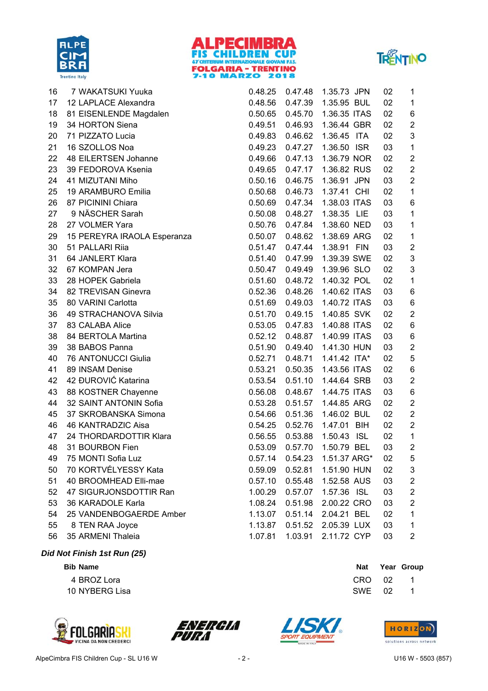





| 16 | 7 WAKATSUKI Yuuka           | 0.48.25 | 0.47.48 | 1.35.73 JPN           | 02 | 1                       |
|----|-----------------------------|---------|---------|-----------------------|----|-------------------------|
| 17 | 12 LAPLACE Alexandra        | 0.48.56 | 0.47.39 | 1.35.95 BUL           | 02 | $\mathbf 1$             |
| 18 | 81 EISENLENDE Magdalen      | 0.50.65 | 0.45.70 | 1.36.35 ITAS          | 02 | $\,6$                   |
| 19 | 34 HORTON Siena             | 0.49.51 | 0.46.93 | 1.36.44 GBR           | 02 | $\overline{c}$          |
| 20 | 71 PIZZATO Lucia            | 0.49.83 | 0.46.62 | 1.36.45 ITA           | 02 | 3                       |
| 21 | 16 SZOLLOS Noa              | 0.49.23 | 0.47.27 | 1.36.50 ISR           | 03 | 1                       |
| 22 | 48 EILERTSEN Johanne        | 0.49.66 | 0.47.13 | 1.36.79 NOR           | 02 | $\boldsymbol{2}$        |
| 23 | 39 FEDOROVA Ksenia          | 0.49.65 | 0.47.17 | 1.36.82 RUS           | 02 | $\mathbf 2$             |
| 24 | 41 MIZUTANI Miho            | 0.50.16 | 0.46.75 | 1.36.91 JPN           | 03 | $\sqrt{2}$              |
| 25 | 19 ARAMBURO Emilia          | 0.50.68 | 0.46.73 | 1.37.41 CHI           | 02 | $\mathbf 1$             |
| 26 | 87 PICININI Chiara          | 0.50.69 | 0.47.34 | 1.38.03 ITAS          | 03 | $\,6\,$                 |
| 27 | 9 NÄSCHER Sarah             | 0.50.08 | 0.48.27 | 1.38.35 LIE           | 03 | 1                       |
| 28 | 27 VOLMER Yara              | 0.50.76 | 0.47.84 | 1.38.60 NED           | 03 | 1                       |
| 29 | 15 PEREYRA IRAOLA Esperanza | 0.50.07 | 0.48.62 | 1.38.69 ARG           | 02 | 1                       |
| 30 | 51 PALLARI Riia             | 0.51.47 | 0.47.44 | 1.38.91 FIN           | 03 | $\boldsymbol{2}$        |
| 31 | 64 JANLERT Klara            | 0.51.40 | 0.47.99 | 1.39.39 SWE           | 02 | $\mathsf 3$             |
| 32 | 67 KOMPAN Jera              | 0.50.47 | 0.49.49 | 1.39.96 SLO           | 02 | $\mathsf 3$             |
| 33 | 28 HOPEK Gabriela           | 0.51.60 | 0.48.72 | 1.40.32 POL           | 02 | $\mathbf 1$             |
| 34 | 82 TREVISAN Ginevra         | 0.52.36 | 0.48.26 | 1.40.62 ITAS          | 03 | $\,6$                   |
| 35 | 80 VARINI Carlotta          | 0.51.69 | 0.49.03 | 1.40.72 ITAS          | 03 | $\,6\,$                 |
| 36 | 49 STRACHANOVA Silvia       | 0.51.70 | 0.49.15 | 1.40.85 SVK           | 02 | $\mathbf 2$             |
| 37 | 83 CALABA Alice             | 0.53.05 | 0.47.83 | 1.40.88 ITAS          | 02 | $\,6$                   |
| 38 | 84 BERTOLA Martina          | 0.52.12 | 0.48.87 | 1.40.99 ITAS          | 03 | $\,6\,$                 |
| 39 | 38 BABOS Panna              | 0.51.90 | 0.49.40 | 1.41.30 HUN           | 03 | $\sqrt{2}$              |
| 40 | 76 ANTONUCCI Giulia         | 0.52.71 | 0.48.71 | 1.41.42 ITA*          | 02 | $\sqrt{5}$              |
| 41 | 89 INSAM Denise             | 0.53.21 | 0.50.35 | 1.43.56 ITAS          | 02 | $\,6\,$                 |
| 42 | 42 ĐUROVIĆ Katarina         | 0.53.54 | 0.51.10 | 1.44.64 SRB           | 03 | $\boldsymbol{2}$        |
| 43 | 88 KOSTNER Chayenne         | 0.56.08 | 0.48.67 | 1.44.75 ITAS          | 03 | $\,6\,$                 |
| 44 | 32 SAINT ANTONIN Sofia      | 0.53.28 | 0.51.57 | 1.44.85 ARG           | 02 | $\overline{c}$          |
| 45 | 37 SKROBANSKA Simona        | 0.54.66 | 0.51.36 | 1.46.02 BUL           | 02 | $\boldsymbol{2}$        |
| 46 | 46 KANTRADZIC Aisa          | 0.54.25 | 0.52.76 | 1.47.01 BIH           | 02 | $\mathbf 2$             |
| 47 | 24 THORDARDOTTIR Klara      | 0.56.55 | 0.53.88 | <b>ISL</b><br>1.50.43 | 02 | $\mathbf 1$             |
| 48 | 31 BOURBON Fien             | 0.53.09 | 0.57.70 | 1.50.79 BEL           | 03 | $\overline{2}$          |
| 49 | 75 MONTI Sofia Luz          | 0.57.14 | 0.54.23 | 1.51.37 ARG*          | 02 | 5                       |
| 50 | 70 KORTVÉLYESSY Kata        | 0.59.09 | 0.52.81 | 1.51.90 HUN           | 02 | 3                       |
| 51 | 40 BROOMHEAD Elli-mae       | 0.57.10 | 0.55.48 | 1.52.58 AUS           | 03 | $\overline{\mathbf{c}}$ |
| 52 | 47 SIGURJONSDOTTIR Ran      | 1.00.29 | 0.57.07 | 1.57.36 ISL           | 03 | $\boldsymbol{2}$        |
| 53 | 36 KARADOLE Karla           | 1.08.24 | 0.51.98 | 2.00.22 CRO           | 03 | $\boldsymbol{2}$        |
| 54 | 25 VANDENBOGAERDE Amber     | 1.13.07 | 0.51.14 | 2.04.21 BEL           | 02 | 1                       |
| 55 | 8 TEN RAA Joyce             | 1.13.87 | 0.51.52 | 2.05.39 LUX           | 03 | 1                       |
| 56 | 35 ARMENI Thaleia           | 1.07.81 | 1.03.91 | 2.11.72 CYP           | 03 | 2                       |

### *Did Not Finish 1st Run (25)*

**Bib** Name **Nat Year** Group

4 BROZ Lora CRO 02 1 10 NYBERG Lisa SWE 02 1







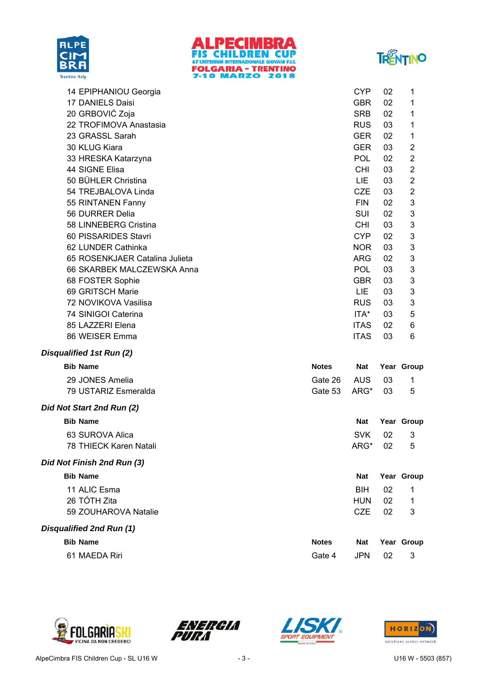





| 14 EPIPHANIOU Georgia          | <b>CYP</b>  | 02 | 1              |
|--------------------------------|-------------|----|----------------|
| 17 DANIELS Daisi               | <b>GBR</b>  | 02 | 1              |
| 20 GRBOVIĆ Zoja                | <b>SRB</b>  | 02 | 1              |
| 22 TROFIMOVA Anastasia         | <b>RUS</b>  | 03 | 1              |
| 23 GRASSL Sarah                | <b>GER</b>  | 02 | 1              |
| 30 KLUG Kiara                  | <b>GER</b>  | 03 | 2              |
| 33 HRESKA Katarzyna            | <b>POL</b>  | 02 | 2              |
| 44 SIGNE Elisa                 | CHI.        | 03 | 2              |
| 50 BÜHLER Christina            | <b>LIE</b>  | 03 | 2              |
| 54 TREJBALOVA Linda            | <b>CZE</b>  | 03 | $\overline{2}$ |
| 55 RINTANEN Fanny              | <b>FIN</b>  | 02 | 3              |
| 56 DURRER Delia                | SUI         | 02 | 3              |
| 58 LINNEBERG Cristina          | CHI.        | 03 | 3              |
| 60 PISSARIDES Stavri           | <b>CYP</b>  | 02 | 3              |
| 62 LUNDER Cathinka             | <b>NOR</b>  | 03 | 3              |
| 65 ROSENKJAER Catalina Julieta | <b>ARG</b>  | 02 | 3              |
| 66 SKARBEK MALCZEWSKA Anna     | <b>POL</b>  | 03 | 3              |
| 68 FOSTER Sophie               | <b>GBR</b>  | 03 | 3              |
| 69 GRITSCH Marie               | <b>LIE</b>  | 03 | 3              |
| 72 NOVIKOVA Vasilisa           | <b>RUS</b>  | 03 | 3              |
| 74 SINIGOI Caterina            | ITA*        | 03 | 5              |
| 85 LAZZERI Elena               | <b>ITAS</b> | 02 | 6              |
| 86 WEISER Emma                 | <b>ITAS</b> | 03 | 6              |
| Disqualified 1st Run (2)       |             |    |                |

| <b>Bib Name</b>      | <b>Notes</b>                  |  | Nat Year Group |
|----------------------|-------------------------------|--|----------------|
| 29 JONES Amelia      | Gate 26 AUS 03                |  |                |
| 79 USTARIZ Esmeralda | Gate 53 $\overline{A}$ RG* 03 |  | - 5            |
|                      |                               |  |                |

### *Did Not Start 2nd Run (2)*

| <b>Bib Name</b>            | <b>Nat</b> |    | Year Group |
|----------------------------|------------|----|------------|
| 63 SUROVA Alica            | <b>SVK</b> | 02 | 3          |
| 78 THIECK Karen Natali     | ARG*       | 02 | 5          |
| Did Not Finish 2nd Run (3) |            |    |            |
| <b>Bib Name</b>            | <b>Nat</b> |    | Year Group |
| 11 ALIC Esma               | <b>BIH</b> | 02 | 1          |
| 26 TÓTH Zita               | <b>HUN</b> | 02 | 1          |
| 59 ZOUHAROVA Natalie       | CZE        | 02 | 3          |
|                            |            |    |            |

### *Disqualified 2nd Run (1)*

| <b>Bib Name</b> | <b>Notes</b> |        | Nat Year Group |
|-----------------|--------------|--------|----------------|
| 61 MAEDA Riri   | Gate 4       | JPN 02 | - 3            |







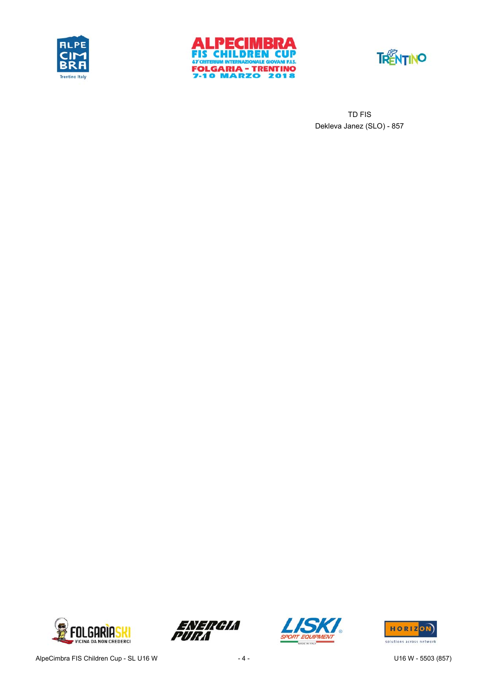





Dekleva Janez (SLO) - 857 TD FIS







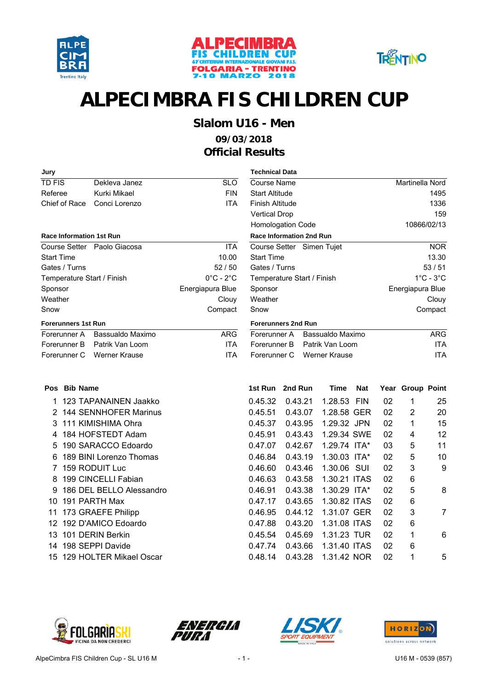





## **Slalom U16 - Men**

**09/03/2018 Official Results**

| Jury                            |                             |                               | <b>Technical Data</b>  |                                 |                      |            |    |                  |                               |
|---------------------------------|-----------------------------|-------------------------------|------------------------|---------------------------------|----------------------|------------|----|------------------|-------------------------------|
| <b>TD FIS</b>                   | Dekleva Janez               | <b>SLO</b>                    | Course Name            |                                 |                      |            |    | Martinella Nord  |                               |
| Referee                         | Kurki Mikael                | <b>FIN</b>                    | <b>Start Altitude</b>  |                                 |                      |            |    |                  | 1495                          |
| Chief of Race                   | Conci Lorenzo               | <b>ITA</b>                    | <b>Finish Altitude</b> |                                 |                      |            |    |                  | 1336                          |
|                                 |                             |                               | <b>Vertical Drop</b>   |                                 |                      |            |    |                  | 159                           |
|                                 |                             |                               |                        | Homologation Code               |                      |            |    |                  | 10866/02/13                   |
| <b>Race Information 1st Run</b> |                             |                               |                        | <b>Race Information 2nd Run</b> |                      |            |    |                  |                               |
|                                 | Course Setter Paolo Giacosa | <b>ITA</b>                    |                        | Course Setter Simen Tujet       |                      |            |    |                  | <b>NOR</b>                    |
| <b>Start Time</b>               |                             | 10.00                         | <b>Start Time</b>      |                                 |                      |            |    |                  | 13.30                         |
| Gates / Turns                   |                             | 52/50                         | Gates / Turns          |                                 |                      |            |    |                  | 53/51                         |
| Temperature Start / Finish      |                             | $0^{\circ}$ C - $2^{\circ}$ C |                        | Temperature Start / Finish      |                      |            |    |                  | $1^{\circ}$ C - $3^{\circ}$ C |
| Sponsor                         |                             | Energiapura Blue              | Sponsor                |                                 |                      |            |    | Energiapura Blue |                               |
| Weather                         |                             | Clouy                         | Weather                |                                 |                      |            |    |                  | Clouy                         |
| Snow                            |                             | Compact                       | Snow                   |                                 |                      |            |    |                  | Compact                       |
| <b>Forerunners 1st Run</b>      |                             |                               |                        | <b>Forerunners 2nd Run</b>      |                      |            |    |                  |                               |
| Forerunner A                    | Bassualdo Maximo            | <b>ARG</b>                    | Forerunner A           |                                 | Bassualdo Maximo     |            |    |                  | <b>ARG</b>                    |
| Forerunner B                    | Patrik Van Loom             | <b>ITA</b>                    | Forerunner B           |                                 | Patrik Van Loom      |            |    |                  | <b>ITA</b>                    |
| Forerunner C                    | <b>Werner Krause</b>        | <b>ITA</b>                    | Forerunner C           |                                 | <b>Werner Krause</b> |            |    |                  | <b>ITA</b>                    |
| Pos Bib Name                    |                             |                               | 1st Run                | 2nd Run                         | <b>Time</b>          | <b>Nat</b> |    | Year Group Point |                               |
|                                 | 123 TAPANAINEN Jaakko       |                               | 0.45.32                | 0.43.21                         | 1.28.53              | <b>FIN</b> | 02 | 1                | 25                            |
| 2                               | 144 SENNHOFER Marinus       |                               | 0.45.51                | 0.43.07                         | 1.28.58 GER          |            | 02 | 2                | 20                            |
| 3                               | 111 KIMISHIMA Ohra          |                               | 0.45.37                | 0.43.95                         | 1.29.32 JPN          |            | 02 | 1                | 15                            |
| 4                               | 184 HOFSTEDT Adam           |                               | 0.45.91                | 0.43.43                         | 1.29.34 SWE          |            | 02 | 4                | 12                            |
| 5                               | 190 SARACCO Edoardo         |                               | 0.47.07                | 0.42.67                         | 1.29.74 ITA*         |            | 03 | 5                | 11                            |
| 6                               | 189 BINI Lorenzo Thomas     |                               | 0.46.84                | 0.43.19                         | $1.30.03$ ITA*       |            | 02 | 5                | 10                            |
|                                 | 7 159 RODUIT Luc            |                               | 0.46.60                | 0.43.46                         | 1.30.06 SUI          |            | 02 | 3                | g                             |
| 8                               | 199 CINCELLI Fabian         |                               | 0.46.63                | 0.43.58                         | 1.30.21 ITAS         |            | 02 | 6                |                               |

| <b>Technical Data</b>            |                               |
|----------------------------------|-------------------------------|
| Course Name                      | Martinella Nord               |
| <b>Start Altitude</b>            | 1495                          |
| Finish Altitude                  | 1336                          |
| <b>Vertical Drop</b>             | 159                           |
| <b>Homologation Code</b>         | 10866/02/13                   |
| <b>Race Information 2nd Run</b>  |                               |
| Course Setter Simen Tujet        | <b>NOR</b>                    |
| <b>Start Time</b>                | 13.30                         |
| Gates / Turns                    | 53/51                         |
| Temperature Start / Finish       | $1^{\circ}$ C - $3^{\circ}$ C |
| Sponsor                          | Energiapura Blue              |
| Weather                          | Clouy                         |
| Snow                             | Compact                       |
| <b>Forerunners 2nd Run</b>       |                               |
| Bassualdo Maximo<br>Forerunner A | ARG                           |
| Patrik Van Loom<br>Forerunner B  | ITA                           |

| s Bib Name                 | 1st Run | 2nd Run | Time           | <b>Nat</b> |    | Year Group Point |                |
|----------------------------|---------|---------|----------------|------------|----|------------------|----------------|
| 1 123 TAPANAINEN Jaakko    | 0.45.32 | 0.43.21 | 1.28.53 FIN    |            | 02 | 1                | 25             |
| 2 144 SENNHOFER Marinus    | 0.45.51 | 0.43.07 | 1.28.58 GER    |            | 02 | 2                | 20             |
| 3 111 KIMISHIMA Ohra       | 0.45.37 | 0.43.95 | 1.29.32 JPN    |            | 02 | 1                | 15             |
| 4 184 HOFSTEDT Adam        | 0.45.91 | 0.43.43 | 1.29.34 SWE    |            | 02 | 4                | 12             |
| 5 190 SARACCO Edoardo      | 0.47.07 | 0.42.67 | $1.29.74$ ITA* |            | 03 | 5                | 11             |
| 6 189 BINI Lorenzo Thomas  | 0.46.84 | 0.43.19 | $1.30.03$ ITA* |            | 02 | 5                | 10             |
| 7 159 RODUIT Luc           | 0.46.60 | 0.43.46 | 1.30.06 SUI    |            | 02 | 3                | 9              |
| 8 199 CINCELLI Fabian      | 0.46.63 | 0.43.58 | 1.30.21 ITAS   |            | 02 | 6                |                |
| 9 186 DEL BELLO Alessandro | 0.46.91 | 0.43.38 | $1.30.29$ ITA* |            | 02 | 5                | 8              |
| 0 191 PARTH Max            | 0.47.17 | 0.43.65 | 1.30.82 ITAS   |            | 02 | 6                |                |
| 1 173 GRAEFE Philipp       | 0.46.95 | 0.44.12 | 1.31.07 GER    |            | 02 | 3                | $\overline{7}$ |
| 2 192 D'AMICO Edoardo      | 0.47.88 | 0.43.20 | 1.31.08 ITAS   |            | 02 | 6                |                |
| 3 101 DERIN Berkin         | 0.45.54 | 0.45.69 | 1.31.23 TUR    |            | 02 | 1                | 6              |
| 4 198 SEPPI Davide         | 0.47.74 | 0.43.66 | 1.31.40 ITAS   |            | 02 | 6                |                |
| 5 129 HOLTER Mikael Oscar  | 0.48.14 | 0.43.28 | 1.31.42 NOR    |            | 02 | 1                | 5              |
|                            |         |         |                |            |    |                  |                |



15 129 HOLTER Mikael Oscar

10 191 PARTH Max 11 173 GRAEFE Philipp 12 192 D'AMICO Edoardo 13 101 DERIN Berkin 14 198 SEPPI Davide





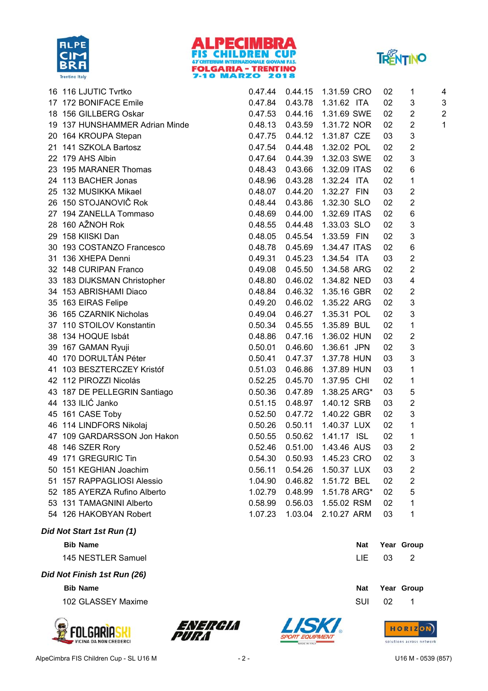





| 16 | 116 LJUTIC Tvrtko              | 0.47.44 | 0.44.15 | 1.31.59 CRO                     | 02 | 1                         | 4              |
|----|--------------------------------|---------|---------|---------------------------------|----|---------------------------|----------------|
|    | 17 172 BONIFACE Emile          | 0.47.84 |         | 0.43.78  1.31.62  ITA           | 02 | 3                         | 3              |
|    | 18 156 GILLBERG Oskar          |         |         | 0.47.53  0.44.16  1.31.69  SWE  | 02 | $\overline{c}$            | $\overline{a}$ |
|    | 19 137 HUNSHAMMER Adrian Minde |         |         | 0.48.13  0.43.59  1.31.72  NOR  | 02 | $\overline{\mathbf{c}}$   | 1              |
|    | 20 164 KROUPA Stepan           |         |         | 0.47.75  0.44.12  1.31.87  CZE  | 03 | $\ensuremath{\mathsf{3}}$ |                |
|    | 21 141 SZKOLA Bartosz          | 0.47.54 |         | 0.44.48  1.32.02  POL           | 02 | $\overline{c}$            |                |
|    | 22 179 AHS Albin               | 0.47.64 | 0.44.39 | 1.32.03 SWE                     | 02 | 3                         |                |
|    | 23 195 MARANER Thomas          | 0.48.43 | 0.43.66 | 1.32.09 ITAS                    | 02 | 6                         |                |
|    | 24 113 BACHER Jonas            | 0.48.96 | 0.43.28 | 1.32.24 ITA                     | 02 | 1                         |                |
|    | 25 132 MUSIKKA Mikael          | 0.48.07 | 0.44.20 | 1.32.27 FIN                     | 03 | $\overline{\mathbf{c}}$   |                |
|    | 26 150 STOJANOVIČ Rok          | 0.48.44 | 0.43.86 | 1.32.30 SLO                     | 02 | $\overline{2}$            |                |
|    | 27 194 ZANELLA Tommaso         |         |         | 0.48.69  0.44.00  1.32.69  ITAS | 02 | 6                         |                |
|    | 28 160 AŽNOH Rok               |         |         | 0.48.55  0.44.48  1.33.03  SLO  | 02 | 3                         |                |
|    | 29 158 KIISKI Dan              | 0.48.05 | 0.45.54 | 1.33.59 FIN                     | 02 | 3                         |                |
| 30 | 193 COSTANZO Francesco         | 0.48.78 | 0.45.69 | 1.34.47 ITAS                    | 02 | 6                         |                |
|    | 31 136 XHEPA Denni             | 0.49.31 | 0.45.23 | 1.34.54 ITA                     | 03 | $\overline{\mathbf{c}}$   |                |
|    | 32 148 CURIPAN Franco          | 0.49.08 | 0.45.50 | 1.34.58 ARG                     | 02 | $\overline{2}$            |                |
|    | 33 183 DIJKSMAN Christopher    | 0.48.80 | 0.46.02 | 1.34.82 NED                     | 03 | $\overline{\mathbf{4}}$   |                |
|    | 34 153 ABRISHAMI Diaco         | 0.48.84 | 0.46.32 | 1.35.16 GBR                     | 02 | $\overline{c}$            |                |
|    | 35 163 EIRAS Felipe            | 0.49.20 |         | 0.46.02 1.35.22 ARG             | 02 | 3                         |                |
|    | 36 165 CZARNIK Nicholas        |         |         | 0.49.04  0.46.27  1.35.31  POL  | 02 | 3                         |                |
|    | 37 110 STOILOV Konstantin      | 0.50.34 | 0.45.55 | 1.35.89 BUL                     | 02 | 1                         |                |
|    | 38 134 HOQUE Isbát             | 0.48.86 | 0.47.16 | 1.36.02 HUN                     | 02 | $\overline{2}$            |                |
|    | 39 167 GAMAN Ryuji             | 0.50.01 | 0.46.60 | 1.36.61 JPN                     | 02 | $\ensuremath{\mathsf{3}}$ |                |
|    | 40 170 DORULTÁN Péter          | 0.50.41 |         | 0.47.37 1.37.78 HUN             | 03 | 3                         |                |
|    | 41 103 BESZTERCZEY Kristóf     | 0.51.03 | 0.46.86 | 1.37.89 HUN                     | 03 | 1                         |                |
|    | 42 112 PIROZZI Nicolás         | 0.52.25 | 0.45.70 | 1.37.95 CHI                     | 02 | 1                         |                |
|    | 43 187 DE PELLEGRIN Santiago   |         |         | 0.50.36  0.47.89  1.38.25 ARG*  | 03 | 5                         |                |
|    | 44 133 ILIĆ Janko              | 0.51.15 |         | 0.48.97  1.40.12 SRB            | 03 | $\overline{c}$            |                |
|    | 45 161 CASE Toby               | 0.52.50 | 0.47.72 | 1.40.22 GBR                     | 02 | 3                         |                |
|    | 46 114 LINDFORS Nikolaj        | 0.50.26 | 0.50.11 | 1.40.37 LUX                     | 02 | 1                         |                |
|    | 47 109 GARDARSSON Jon Hakon    | 0.50.55 | 0.50.62 | 1.41.17 ISL                     | 02 | 1                         |                |
|    | 48 146 SZER Rory               | 0.52.46 | 0.51.00 | 1.43.46 AUS                     | 03 | $\overline{\mathbf{c}}$   |                |
|    | 49 171 GREGURIC Tin            | 0.54.30 | 0.50.93 | 1.45.23 CRO                     | 02 | 3                         |                |
|    | 50 151 KEGHIAN Joachim         | 0.56.11 | 0.54.26 | 1.50.37 LUX                     | 03 | $\overline{\mathbf{c}}$   |                |
|    | 51 157 RAPPAGLIOSI Alessio     | 1.04.90 | 0.46.82 | 1.51.72 BEL                     | 02 | $\mathbf 2$               |                |
|    | 52 185 AYERZA Rufino Alberto   | 1.02.79 | 0.48.99 | 1.51.78 ARG*                    | 02 | 5                         |                |
|    | 53 131 TAMAGNINI Alberto       | 0.58.99 | 0.56.03 | 1.55.02 RSM                     | 02 | 1                         |                |
|    | 54 126 HAKOBYAN Robert         | 1.07.23 | 1.03.04 | 2.10.27 ARM                     | 03 | 1                         |                |
|    |                                |         |         |                                 |    |                           |                |

*Did Not Start 1st Run (1)*

**Bib** Name **Nat Year** Group

145 NESTLER Samuel **LIE** 03 2

*Did Not Finish 1st Run (26)*

**Bib Name Nat Year Group** 102 GLASSEY Maxime SUI 02 102 SUI 02 102 SUI 02 102 SUI 02 102 SUI 02 102 SUI 02 102 SUI 02 102 SUI 02 102 SU







| aι |    | iedi Uluup |  |
|----|----|------------|--|
| JI | 02 | 1          |  |
|    |    |            |  |

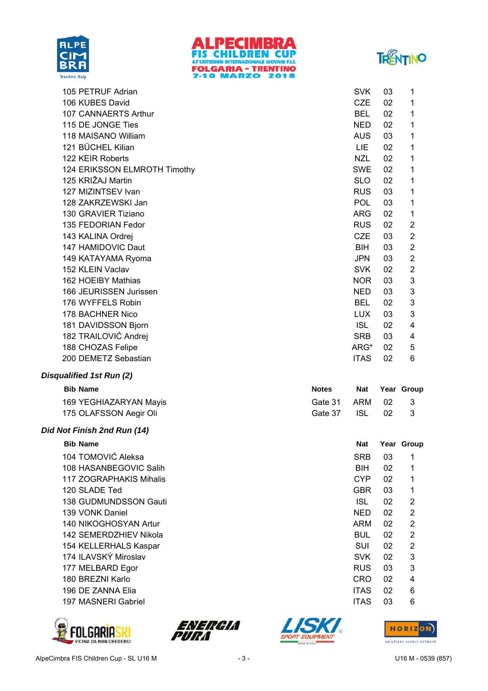





| 105 PETRUF Adrian            | <b>SVK</b>  | 03 | 1              |
|------------------------------|-------------|----|----------------|
| 106 KUBES David              | <b>CZE</b>  | 02 | 1              |
| 107 CANNAERTS Arthur         | <b>BEL</b>  | 02 | 1              |
| 115 DE JONGE Ties            | <b>NED</b>  | 02 | 1              |
| 118 MAISANO William          | <b>AUS</b>  | 03 | 1              |
| 121 BÜCHEL Kilian            | <b>LIE</b>  | 02 | 1              |
| 122 KEIR Roberts             | <b>NZL</b>  | 02 | 1              |
| 124 ERIKSSON ELMROTH Timothy | <b>SWE</b>  | 02 | 1              |
| 125 KRIŽAJ Martin            | <b>SLO</b>  | 02 | 1              |
| 127 MIZINTSEV Ivan           | <b>RUS</b>  | 03 | 1              |
| 128 ZAKRZEWSKI Jan           | <b>POL</b>  | 03 | 1              |
| 130 GRAVIER Tiziano          | <b>ARG</b>  | 02 | 1              |
| 135 FEDORIAN Fedor           | <b>RUS</b>  | 02 | $\overline{2}$ |
| 143 KALINA Ordrej            | <b>CZE</b>  | 03 | $\overline{2}$ |
| 147 HAMIDOVIC Daut           | <b>BIH</b>  | 03 | 2              |
| 149 KATAYAMA Ryoma           | <b>JPN</b>  | 03 | 2              |
| 152 KLEIN Vaclav             | <b>SVK</b>  | 02 | $\overline{2}$ |
| 162 HOEIBY Mathias           | <b>NOR</b>  | 03 | 3              |
| 166 JEURISSEN Jurissen       | NED.        | 03 | 3              |
| 176 WYFFELS Robin            | <b>BEL</b>  | 02 | 3              |
| 178 BACHNER Nico             | <b>LUX</b>  | 03 | 3              |
| 181 DAVIDSSON Bjorn          | <b>ISL</b>  | 02 | 4              |
| 182 TRAILOVIĆ Andrej         | <b>SRB</b>  | 03 | 4              |
| 188 CHOZAS Felipe            | ARG*        | 02 | 5              |
| 200 DEMETZ Sebastian         | <b>ITAS</b> | 02 | 6              |
| Disqualified 1st Run (2)     |             |    |                |

### **Bib** Name **Notes Name Notes Nat Year Group**

| 169 YEGHIAZARYAN Mayis | Gate 31 ARM 02 |  | - 3 |
|------------------------|----------------|--|-----|
| 175 OLAFSSON Aegir Oli | Gate 37 ISL 02 |  |     |

#### *Did Not Finish 2nd Run (14)*

| <b>Bib Name</b>                | <b>Nat</b>  | Year | Gro            |
|--------------------------------|-------------|------|----------------|
| 104 TOMOVIĆ Aleksa             | <b>SRB</b>  | 03   | 1              |
| 108 HASANBEGOVIC Salih         | <b>BIH</b>  | 02   | 1              |
| <b>117 ZOGRAPHAKIS Mihalis</b> | <b>CYP</b>  | 02   | 1              |
| 120 SLADE Ted                  | <b>GBR</b>  | 03   | 1              |
| 138 GUDMUNDSSON Gauti          | <b>ISL</b>  | 02   | $\overline{2}$ |
| 139 VONK Daniel                | <b>NED</b>  | 02   | 2              |
| 140 NIKOGHOSYAN Artur          | ARM         | 02   | $\overline{2}$ |
| 142 SEMERDZHIEV Nikola         | <b>BUL</b>  | 02   | $\overline{2}$ |
| 154 KELLERHALS Kaspar          | <b>SUI</b>  | 02   | $\overline{2}$ |
| 174 ILAVSKÝ Miroslav           | <b>SVK</b>  | 02   | 3              |
| 177 MELBARD Egor               | <b>RUS</b>  | 03   | 3              |
| 180 BREZNI Karlo               | CRO         | 02   | 4              |
| 196 DE ZANNA Elia              | <b>ITAS</b> | 02   | 6              |
| 197 MASNERI Gabriel            | <b>ITAS</b> | 03   | 6              |
|                                |             |      |                |









**Nat Year Group**